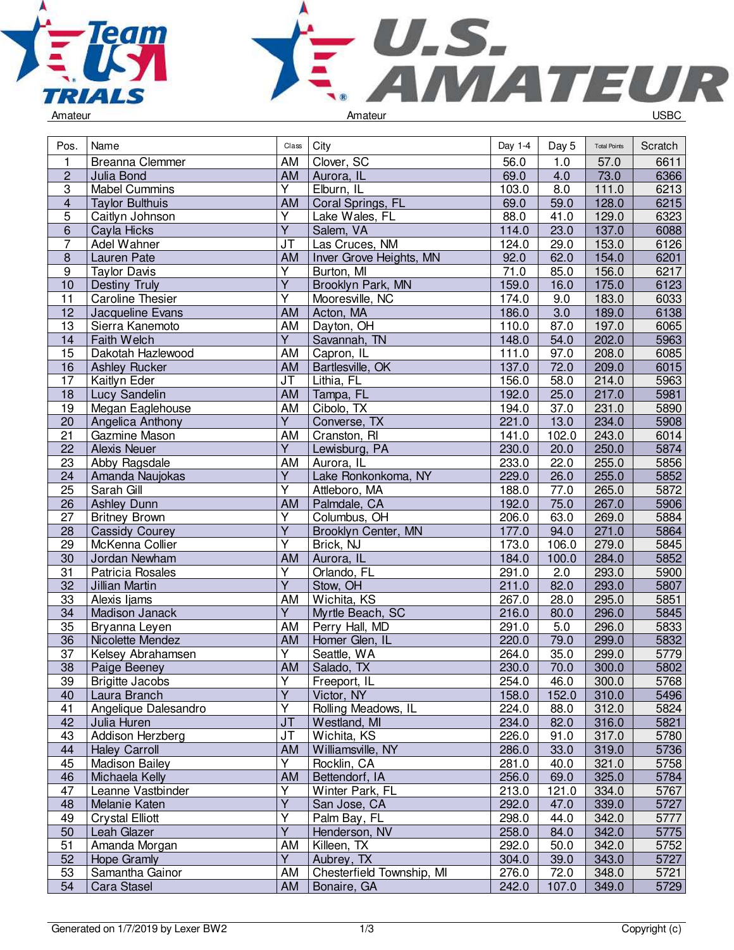



| Pos.                    | Name                    | Class                             | City                      | Day 1-4 | Day 5            | <b>Total Points</b> | Scratch |
|-------------------------|-------------------------|-----------------------------------|---------------------------|---------|------------------|---------------------|---------|
| 1                       | Breanna Clemmer         | AM                                | Clover, SC                | 56.0    | 1.0              | 57.0                | 6611    |
| $\overline{c}$          | Julia Bond              | AM                                | Aurora, IL                | 69.0    | 4.0              | 73.0                | 6366    |
| $\overline{3}$          | <b>Mabel Cummins</b>    | Y                                 | Elburn, IL                | 103.0   | 8.0              | 111.0               | 6213    |
| $\overline{\mathbf{4}}$ | <b>Taylor Bulthuis</b>  | AM                                | Coral Springs, FL         | 69.0    | 59.0             | 128.0               | 6215    |
| 5                       | Caitlyn Johnson         | Υ                                 | Lake Wales, FL            | 88.0    | 41.0             | 129.0               | 6323    |
| 6                       | Cayla Hicks             | Ÿ                                 | Salem, VA                 | 114.0   | 23.0             | 137.0               | 6088    |
| $\overline{7}$          | Adel Wahner             | $\overline{\mathsf{J}\mathsf{T}}$ | Las Cruces, NM            | 124.0   | 29.0             | 153.0               | 6126    |
| $\overline{8}$          | Lauren Pate             | AM                                | Inver Grove Heights, MN   | 92.0    | 62.0             | 154.0               | 6201    |
| $\boldsymbol{9}$        | <b>Taylor Davis</b>     | $\overline{Y}$                    | Burton, MI                | 71.0    | 85.0             | 156.0               | 6217    |
| 10                      | Destiny Truly           | $\overline{Y}$                    | Brooklyn Park, MN         | 159.0   | 16.0             | 175.0               | 6123    |
| 11                      | <b>Caroline Thesier</b> | Υ                                 | Mooresville, NC           | 174.0   | 9.0              | 183.0               | 6033    |
| 12                      | Jacqueline Evans        | AM                                | Acton, MA                 | 186.0   | $\overline{3.0}$ | 189.0               | 6138    |
| 13                      | Sierra Kanemoto         | AM                                | Dayton, OH                | 110.0   | 87.0             | 197.0               | 6065    |
| 14                      | Faith Welch             | $\overline{Y}$                    | Savannah, TN              | 148.0   | 54.0             | 202.0               | 5963    |
| 15                      | Dakotah Hazlewood       | AM                                | Capron, IL                | 111.0   | 97.0             | 208.0               | 6085    |
| 16                      | <b>Ashley Rucker</b>    | <b>AM</b>                         | Bartlesville, OK          | 137.0   | 72.0             | 209.0               | 6015    |
| 17                      | Kaitlyn Eder            | $\overline{\mathsf{J}\mathsf{T}}$ | Lithia, FL                | 156.0   | 58.0             | 214.0               | 5963    |
| 18                      | Lucy Sandelin           | AM                                | Tampa, FL                 | 192.0   | 25.0             | 217.0               | 5981    |
| 19                      | Megan Eaglehouse        | AM                                | Cibolo, TX                | 194.0   | 37.0             | 231.0               | 5890    |
| 20                      | Angelica Anthony        | $\overline{Y}$                    | Converse, TX              | 221.0   | 13.0             | 234.0               | 5908    |
| 21                      | Gazmine Mason           | AM                                | Cranston, RI              | 141.0   | 102.0            | 243.0               | 6014    |
| 22                      | <b>Alexis Neuer</b>     | Ÿ                                 | Lewisburg, PA             | 230.0   | 20.0             | 250.0               | 5874    |
| 23                      | Abby Ragsdale           | AM                                | Aurora, IL                | 233.0   | 22.0             | 255.0               | 5856    |
| 24                      | Amanda Naujokas         | $\overline{Y}$                    | Lake Ronkonkoma, NY       | 229.0   | 26.0             | 255.0               | 5852    |
| 25                      | Sarah Gill              | $\overline{\mathsf{Y}}$           | Attleboro, MA             | 188.0   | 77.0             | 265.0               | 5872    |
| 26                      | <b>Ashley Dunn</b>      | <b>AM</b>                         | Palmdale, CA              | 192.0   | 75.0             | 267.0               | 5906    |
| 27                      | <b>Britney Brown</b>    | $\overline{Y}$                    | Columbus, OH              | 206.0   | 63.0             | 269.0               | 5884    |
| 28                      | <b>Cassidy Courey</b>   | $\overline{Y}$                    | Brooklyn Center, MN       | 177.0   | 94.0             | 271.0               | 5864    |
| 29                      | McKenna Collier         | Ÿ                                 | Brick, NJ                 | 173.0   | 106.0            | 279.0               | 5845    |
| 30                      | Jordan Newham           | AM                                | Aurora, IL                | 184.0   | 100.0            | 284.0               | 5852    |
| 31                      | Patricia Rosales        | Υ                                 | Orlando, FL               | 291.0   | 2.0              | 293.0               | 5900    |
| 32                      | <b>Jillian Martin</b>   | Ÿ                                 | Stow, OH                  | 211.0   | 82.0             | 293.0               | 5807    |
| 33                      | Alexis Ijams            | AM                                | Wichita, KS               | 267.0   | 28.0             | 295.0               | 5851    |
| $\overline{34}$         | Madison Janack          | $\overline{Y}$                    | Myrtle Beach, SC          | 216.0   | 80.0             | 296.0               | 5845    |
| 35                      | Bryanna Leyen           | AM                                | Perry Hall, MD            | 291.0   | 5.0              | 296.0               | 5833    |
| 36                      | Nicolette Mendez        | AM                                | Homer Glen, IL            | 220.0   | 79.0             | 299.0               | 5832    |
| 37                      | Kelsey Abrahamsen       | $\overline{Y}$                    | Seattle, WA               | 264.0   | 35.0             | 299.0               | 5779    |
| 38                      | Paige Beeney            | AM                                | Salado, TX                | 230.0   | 70.0             | 300.0               | 5802    |
| 39                      | <b>Brigitte Jacobs</b>  | Y                                 | Freeport, IL              | 254.0   | 46.0             | 300.0               | 5768    |
| 40                      | Laura Branch            | $\overline{Y}$                    | Victor, NY                | 158.0   | 152.0            | 310.0               | 5496    |
| 41                      | Angelique Dalesandro    | Υ                                 | Rolling Meadows, IL       | 224.0   | 88.0             | 312.0               | 5824    |
| 42                      | Julia Huren             | J <sub>T</sub>                    | Westland, MI              | 234.0   | 82.0             | 316.0               | 5821    |
| 43                      | Addison Herzberg        | JT                                | Wichita, KS               | 226.0   | 91.0             | 317.0               | 5780    |
| 44                      | <b>Haley Carroll</b>    | AM                                | Williamsville, NY         | 286.0   | 33.0             | 319.0               | 5736    |
| 45                      | <b>Madison Bailey</b>   | Y                                 | Rocklin, CA               | 281.0   | 40.0             | 321.0               | 5758    |
| 46                      | Michaela Kelly          | AM                                | Bettendorf, IA            | 256.0   | 69.0             | 325.0               | 5784    |
| 47                      | Leanne Vastbinder       | $\overline{\mathsf{Y}}$           | Winter Park, FL           | 213.0   | 121.0            | 334.0               | 5767    |
| 48                      | Melanie Katen           | $\overline{Y}$                    | San Jose, CA              | 292.0   | 47.0             | 339.0               | 5727    |
| 49                      | <b>Crystal Elliott</b>  | $\overline{\mathsf{Y}}$           | Palm Bay, FL              | 298.0   | 44.0             | 342.0               | 5777    |
| 50                      | Leah Glazer             | Y                                 | Henderson, NV             | 258.0   | 84.0             | 342.0               | 5775    |
| 51                      | Amanda Morgan           | AM                                | Killeen, TX               | 292.0   | 50.0             | 342.0               | 5752    |
| 52                      | <b>Hope Gramly</b>      | Y                                 | Aubrey, TX                | 304.0   | 39.0             | 343.0               | 5727    |
| 53                      | Samantha Gainor         | AM                                | Chesterfield Township, MI | 276.0   | 72.0             | 348.0               | 5721    |
| 54                      | Cara Stasel             | AM                                | Bonaire, GA               | 242.0   | 107.0            | 349.0               | 5729    |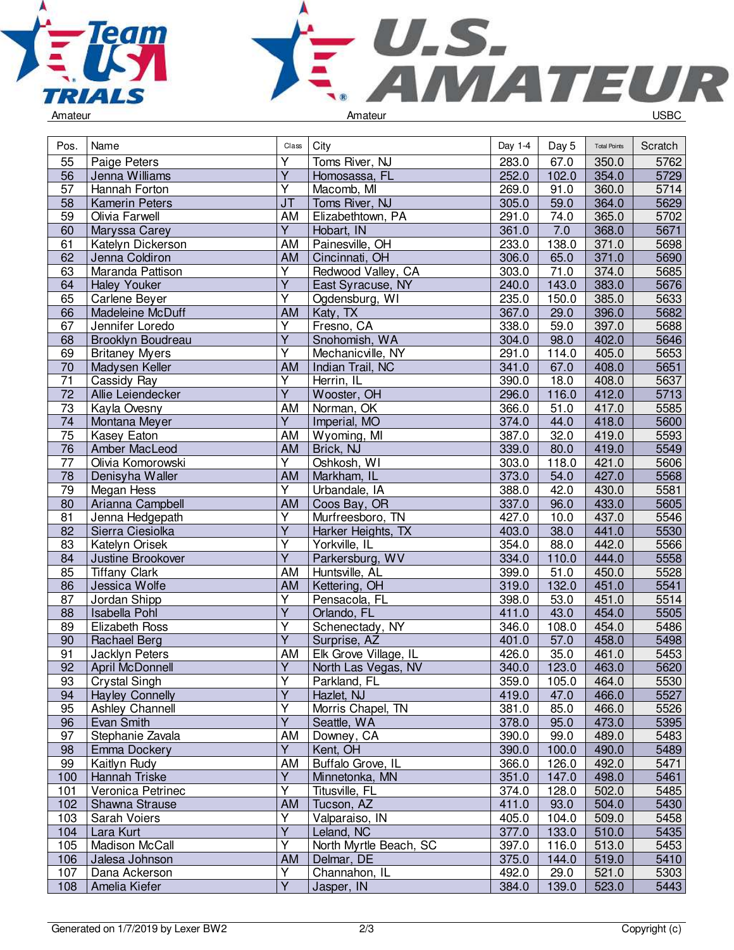



| Pos.            | Name                   | Class                   | City                   | Day 1-4 | Day 5 | <b>Total Points</b> | Scratch |
|-----------------|------------------------|-------------------------|------------------------|---------|-------|---------------------|---------|
| 55              | Paige Peters           | Υ                       | Toms River, NJ         | 283.0   | 67.0  | 350.0               | 5762    |
| 56              | Jenna Williams         | $\overline{Y}$          | Homosassa, FL          | 252.0   | 102.0 | 354.0               | 5729    |
| 57              | Hannah Forton          | Y                       | Macomb, MI             | 269.0   | 91.0  | 360.0               | 5714    |
| 58              | <b>Kamerin Peters</b>  | J <sub>T</sub>          | Toms River, NJ         | 305.0   | 59.0  | 364.0               | 5629    |
| 59              | Olivia Farwell         | AM                      | Elizabethtown, PA      | 291.0   | 74.0  | 365.0               | 5702    |
| 60              | Maryssa Carey          | $\overline{Y}$          | Hobart, IN             | 361.0   | 7.0   | 368.0               | 5671    |
| 61              | Katelyn Dickerson      | AM                      | Painesville, OH        | 233.0   | 138.0 | 371.0               | 5698    |
| 62              | Jenna Coldiron         | AM                      | Cincinnati, OH         | 306.0   | 65.0  | 371.0               | 5690    |
| 63              | Maranda Pattison       | $\overline{Y}$          | Redwood Valley, CA     | 303.0   | 71.0  | 374.0               | 5685    |
| 64              | <b>Haley Youker</b>    | $\overline{Y}$          | East Syracuse, NY      | 240.0   | 143.0 | 383.0               | 5676    |
| 65              | Carlene Beyer          | Y                       | Ogdensburg, WI         | 235.0   | 150.0 | 385.0               | 5633    |
| 66              | Madeleine McDuff       | AM                      | Katy, TX               | 367.0   | 29.0  | 396.0               | 5682    |
| 67              | Jennifer Loredo        | Υ                       | Fresno, CA             | 338.0   | 59.0  | 397.0               | 5688    |
| 68              | Brooklyn Boudreau      | $\overline{Y}$          | Snohomish, WA          | 304.0   | 98.0  | 402.0               | 5646    |
| 69              | <b>Britaney Myers</b>  | $\overline{Y}$          | Mechanicville, NY      | 291.0   | 114.0 | 405.0               | 5653    |
| 70              | Madysen Keller         | AM                      | Indian Trail, NC       | 341.0   | 67.0  | 408.0               | 5651    |
| 71              | Cassidy Ray            | $\overline{\mathsf{Y}}$ | Herrin, IL             | 390.0   | 18.0  | 408.0               | 5637    |
| $\overline{72}$ | Allie Leiendecker      | $\overline{Y}$          | Wooster, OH            | 296.0   | 116.0 | 412.0               | 5713    |
| 73              | Kayla Ovesny           | AM                      | Norman, OK             | 366.0   | 51.0  | 417.0               | 5585    |
| 74              | Montana Meyer          | $\overline{Y}$          | Imperial, MO           | 374.0   | 44.0  | 418.0               | 5600    |
| 75              | Kasey Eaton            | AM                      | Wyoming, MI            | 387.0   | 32.0  | 419.0               | 5593    |
| 76              | Amber MacLeod          | AM                      | Brick, NJ              | 339.0   | 80.0  | 419.0               | 5549    |
| $\overline{77}$ | Olivia Komorowski      | $\overline{Y}$          | Oshkosh, WI            | 303.0   | 118.0 | 421.0               | 5606    |
| $\overline{78}$ | Denisyha Waller        | AM                      | Markham, IL            | 373.0   | 54.0  | 427.0               | 5568    |
| 79              | Megan Hess             | $\overline{Y}$          | Urbandale, IA          | 388.0   | 42.0  | 430.0               | 5581    |
| 80              | Arianna Campbell       | AM                      | Coos Bay, OR           | 337.0   | 96.0  | 433.0               | 5605    |
| 81              | Jenna Hedgepath        | Ÿ                       | Murfreesboro, TN       | 427.0   | 10.0  | 437.0               | 5546    |
| 82              | Sierra Ciesiolka       | $\overline{Y}$          | Harker Heights, TX     | 403.0   | 38.0  | 441.0               | 5530    |
| 83              | Katelyn Orisek         | $\overline{\mathsf{Y}}$ | Yorkville, IL          | 354.0   | 88.0  | 442.0               | 5566    |
| 84              | Justine Brookover      | $\overline{Y}$          | Parkersburg, WV        | 334.0   | 110.0 | 444.0               | 5558    |
| 85              | <b>Tiffany Clark</b>   | AM                      | Huntsville, AL         | 399.0   | 51.0  | 450.0               | 5528    |
| 86              | Jessica Wolfe          | AM                      | Kettering, OH          | 319.0   | 132.0 | 451.0               | 5541    |
| 87              | Jordan Shipp           | Υ                       | Pensacola, FL          | 398.0   | 53.0  | 451.0               | 5514    |
| 88              | <b>Isabella Pohl</b>   | $\overline{Y}$          | Orlando, FL            | 411.0   | 43.0  | 454.0               | 5505    |
| 89              | Elizabeth Ross         | $\overline{Y}$          | Schenectady, NY        | 346.0   | 108.0 | 454.0               | 5486    |
| 90              | Rachael Berg           | $\overline{\mathsf{Y}}$ | Surprise, AZ           | 401.0   | 57.0  | 458.0               | 5498    |
| 91              | Jacklyn Peters         | AM                      | Elk Grove Village, IL  | 426.0   | 35.0  | 461.0               | 5453    |
| $\overline{92}$ | April McDonnell        | $\overline{Y}$          | North Las Vegas, NV    | 340.0   | 123.0 | 463.0               | 5620    |
| 93              | <b>Crystal Singh</b>   | Υ                       | Parkland, FL           | 359.0   | 105.0 | 464.0               | 5530    |
| 94              | <b>Hayley Connelly</b> | $\overline{Y}$          | Hazlet, NJ             | 419.0   | 47.0  | 466.0               | 5527    |
| 95              | Ashley Channell        | Υ                       | Morris Chapel, TN      | 381.0   | 85.0  | 466.0               | 5526    |
| 96              | Evan Smith             | Υ                       | Seattle, WA            | 378.0   | 95.0  | 473.0               | 5395    |
| 97              | Stephanie Zavala       | AM                      | Downey, CA             | 390.0   | 99.0  | 489.0               | 5483    |
| 98              | Emma Dockery           | $\overline{Y}$          | Kent, OH               | 390.0   | 100.0 | 490.0               | 5489    |
| 99              | Kaitlyn Rudy           | AM                      | Buffalo Grove, IL      | 366.0   | 126.0 | 492.0               | 5471    |
| 100             | Hannah Triske          | $\overline{Y}$          | Minnetonka, MN         | 351.0   | 147.0 | 498.0               | 5461    |
| 101             | Veronica Petrinec      | Υ                       | Titusville, FL         | 374.0   | 128.0 | 502.0               | 5485    |
| 102             | Shawna Strause         | AM                      | Tucson, AZ             | 411.0   | 93.0  | 504.0               | 5430    |
| 103             | Sarah Voiers           | $\overline{Y}$          | Valparaiso, IN         | 405.0   | 104.0 | 509.0               | 5458    |
| 104             | Lara Kurt              | Y                       | Leland, NC             | 377.0   | 133.0 | 510.0               | 5435    |
| 105             | Madison McCall         | Υ                       | North Myrtle Beach, SC | 397.0   | 116.0 | 513.0               | 5453    |
| 106             | Jalesa Johnson         | <b>AM</b>               | Delmar, DE             | 375.0   | 144.0 | 519.0               | 5410    |
| 107             | Dana Ackerson          | Y                       | Channahon, IL          | 492.0   | 29.0  | 521.0               | 5303    |
| 108             | Amelia Kiefer          | $\overline{Y}$          | Jasper, IN             | 384.0   | 139.0 | 523.0               | 5443    |